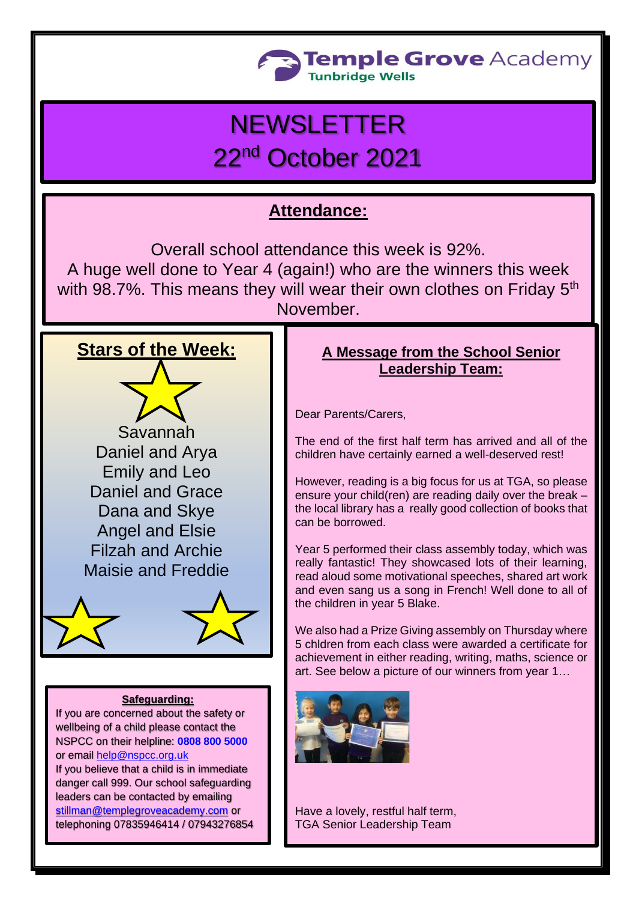

## **NEWSLETTER** 22nd October 2021

## **Attendance:**

Overall school attendance this week is 92%. A huge well done to Year 4 (again!) who are the winners this week with 98.7%. This means they will wear their own clothes on Friday 5<sup>th</sup> November.

## **Stars of the Week:**

Savannah Daniel and Arya Emily and Leo Daniel and Grace Dana and Skye Angel and Elsie Filzah and Archie Maisie and Freddie



#### **Safeguarding:**

If you are concerned about the safety or wellbeing of a child please contact the NSPCC on their helpline: **[0808 800 5000](tel:08088005000)** or email [help@nspcc.org.uk](mailto:help@nspcc.org.uk) If you believe that a child is in immediate danger call 999. Our school safeguarding leaders can be contacted by emailing [stillman@templegroveacademy.com](mailto:stillman@templegroveacademy.com) or

telephoning 07835946414 / 07943276854

## **A Message from the School Senior Leadership Team:**

Dear Parents/Carers,

The end of the first half term has arrived and all of the children have certainly earned a well-deserved rest!

However, reading is a big focus for us at TGA, so please ensure your child(ren) are reading daily over the break – the local library has a really good collection of books that can be borrowed.

Year 5 performed their class assembly today, which was really fantastic! They showcased lots of their learning, read aloud some motivational speeches, shared art work and even sang us a song in French! Well done to all of the children in year 5 Blake.

We also had a Prize Giving assembly on Thursday where 5 chldren from each class were awarded a certificate for achievement in either reading, writing, maths, science or art. See below a picture of our winners from year 1…



Have a lovely, restful half term, TGA Senior Leadership Team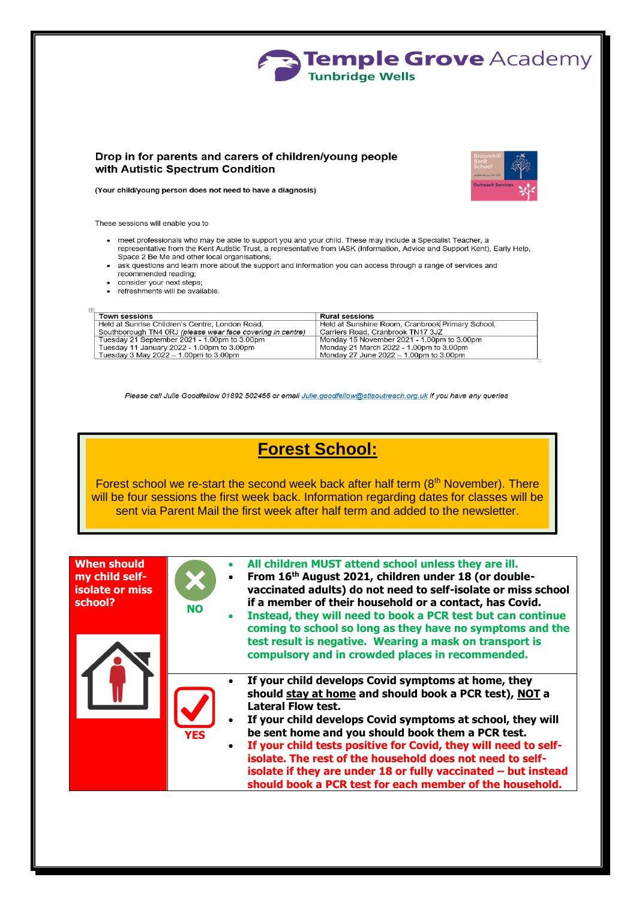# **Temple Grove** Academy

#### Drop in for parents and carers of children/young people with Autistic Spectrum Condition



(Your child/young person does not need to have a diagnosis)

These sessions will enable you to

- meet professionals who may be able to support you and your child. These may include a Specialist Teacher, a representative from the Kent Autistic Trust, a representative from IASK (Information, Advice and Support Kent), Early Help, Space 2 Be Me and other local organisations;
- ask questions and learn more about the support and information you can access through a range of services and  $\bullet$ recommended reading;
- consider your next steps;
- refreshments will be available

| <b>Town sessions</b>                                       | <b>Rural sessions</b>                            |
|------------------------------------------------------------|--------------------------------------------------|
| Held at Sunrise Children's Centre, London Road.            | Held at Sunshine Room, Cranbrook Primary School, |
| Southborough TN4 0RJ (please wear face covering in centre) | Carriers Road, Cranbrook TN17 3JZ                |
| Tuesday 21 September 2021 - 1.00pm to 3.00pm               | Monday 15 November 2021 - 1.00pm to 3.00pm       |
| Tuesday 11 January 2022 - 1.00pm to 3.00pm                 | Monday 21 March 2022 - 1.00pm to 3.00pm          |
| Tuesday 3 May 2022 $-$ 1.00pm to 3.00pm                    | Monday 27 June 2022 – 1.00pm to 3.00pm           |

Please call Julie Goodfellow 01892 502466 or email Julie.goodfellow@stlsoutreach.org.uk if you have any queries

## **Forest School:**

Forest school we re-start the second week back after half term (8th November). There will be four sessions the first week back. Information regarding dates for classes will be sent via Parent Mail the first week after half term and added to the newsletter.

| <b>When should</b><br>my child self-<br>isolate or miss<br>school? | <b>NO</b>  | All children MUST attend school unless they are ill.<br>From 16th August 2021, children under 18 (or double-<br>vaccinated adults) do not need to self-isolate or miss school<br>if a member of their household or a contact, has Covid.<br>Instead, they will need to book a PCR test but can continue<br>coming to school so long as they have no symptoms and the<br>test result is negative. Wearing a mask on transport is<br>compulsory and in crowded places in recommended.                                                        |
|--------------------------------------------------------------------|------------|--------------------------------------------------------------------------------------------------------------------------------------------------------------------------------------------------------------------------------------------------------------------------------------------------------------------------------------------------------------------------------------------------------------------------------------------------------------------------------------------------------------------------------------------|
|                                                                    | <b>YES</b> | If your child develops Covid symptoms at home, they<br>should stay at home and should book a PCR test), NOT a<br><b>Lateral Flow test.</b><br>If your child develops Covid symptoms at school, they will<br>be sent home and you should book them a PCR test.<br>If your child tests positive for Covid, they will need to self-<br>$\bullet$<br>isolate. The rest of the household does not need to self-<br>isolate if they are under 18 or fully vaccinated $-$ but instead<br>should book a PCR test for each member of the household. |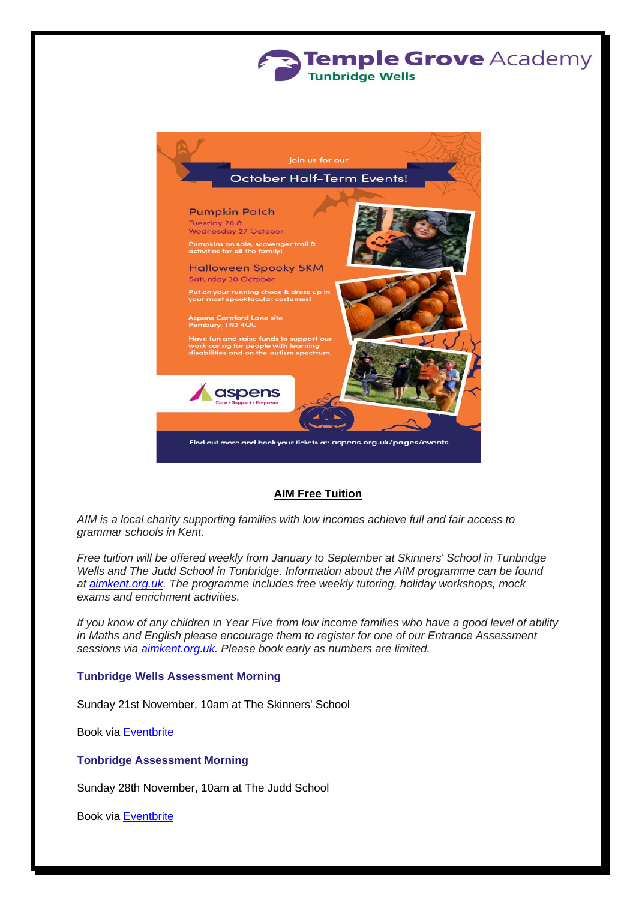

**Temple Grove Academy** 

**Tunbridge Wells** 

#### **AIM Free Tuition**

*AIM is a local charity supporting families with low incomes achieve full and fair access to grammar schools in Kent.*

*Free tuition will be offered weekly from January to September at Skinners' School in Tunbridge Wells and The Judd School in Tonbridge. Information about the AIM programme can be found at [aimkent.org.uk.](http://aimkent.org.uk/) The programme includes free weekly tutoring, holiday workshops, mock exams and enrichment activities.*

*If you know of any children in Year Five from low income families who have a good level of ability in Maths and English please encourage them to register for one of our Entrance Assessment sessions via [aimkent.](http://aimkent.com/)[org.uk.](http://org.uk/) Please book early as numbers are limited.*

#### **Tunbridge Wells Assessment Morning**

Sunday 21st November, 10am at The Skinners' School

Book via [Eventbrite](https://www.eventbrite.co.uk/e/class-of-2022-programme-assessment-tunbridge-wells-tickets-175744104347)

**Tonbridge Assessment Morning**

Sunday 28th November, 10am at The Judd School

Book via [Eventbrite](https://www.eventbrite.co.uk/e/class-of-2022-programme-assessment-tonbridge-tickets-175777664727)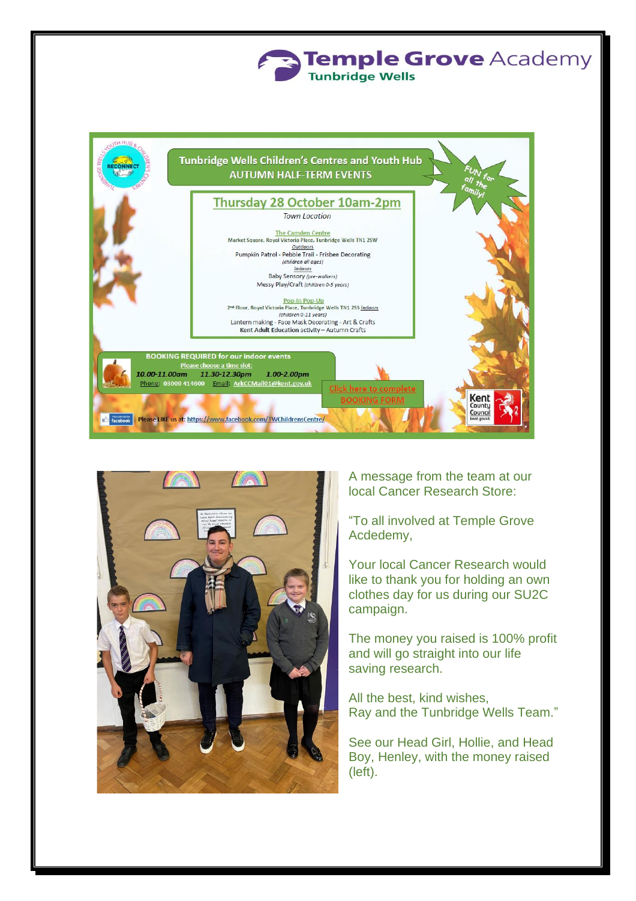## **Temple Grove Academy** Tunbridge Wells



![](_page_3_Picture_2.jpeg)

A message from the team at our local Cancer Research Store:

"To all involved at Temple Grove Acdedemy,

Your local Cancer Research would like to thank you for holding an own clothes day for us during our SU2C campaign.

The money you raised is 100% profit and will go straight into our life saving research.

All the best, kind wishes, Ray and the Tunbridge Wells Team."

See our Head Girl, Hollie, and Head Boy, Henley, with the money raised (left).